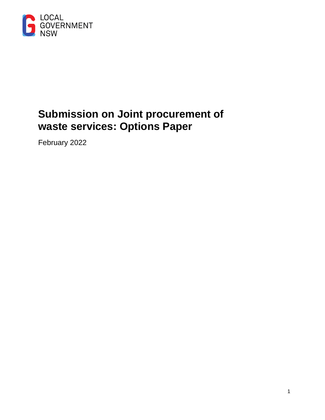

# **Submission on Joint procurement of waste services: Options Paper**

February 2022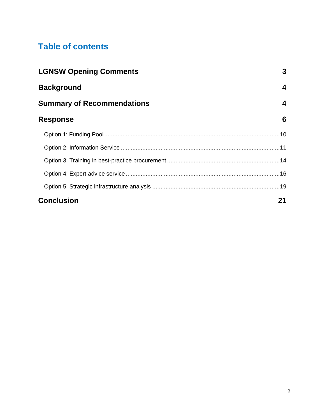# **Table of contents**

| <b>LGNSW Opening Comments</b>     | 3  |
|-----------------------------------|----|
| <b>Background</b>                 | 4  |
| <b>Summary of Recommendations</b> | 4  |
| <b>Response</b>                   | 6  |
|                                   |    |
|                                   |    |
|                                   |    |
|                                   |    |
|                                   |    |
| <b>Conclusion</b>                 | 21 |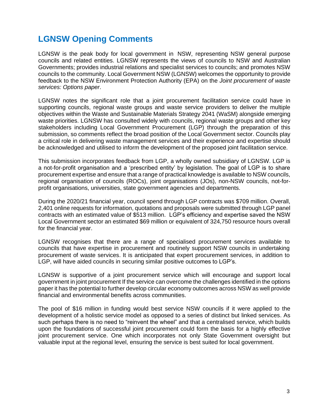## <span id="page-2-0"></span>**LGNSW Opening Comments**

LGNSW is the peak body for local government in NSW, representing NSW general purpose councils and related entities. LGNSW represents the views of councils to NSW and Australian Governments; provides industrial relations and specialist services to councils; and promotes NSW councils to the community. Local Government NSW (LGNSW) welcomes the opportunity to provide feedback to the NSW Environment Protection Authority (EPA) on the *Joint procurement of waste services: Options paper*.

LGNSW notes the significant role that a joint procurement facilitation service could have in supporting councils, regional waste groups and waste service providers to deliver the multiple objectives within the Waste and Sustainable Materials Strategy 2041 (WaSM) alongside emerging waste priorities. LGNSW has consulted widely with councils, regional waste groups and other key stakeholders including Local Government Procurement (LGP) through the preparation of this submission, so comments reflect the broad position of the Local Government sector. Councils play a critical role in delivering waste management services and their experience and expertise should be acknowledged and utilised to inform the development of the proposed joint facilitation service.

This submission incorporates feedback from LGP, a wholly owned subsidiary of LGNSW. LGP is a not-for-profit organisation and a 'prescribed entity' by legislation. The goal of LGP is to share procurement expertise and ensure that a range of practical knowledge is available to NSW councils, regional organisation of councils (ROCs), joint organisations (JOs), non-NSW councils, not-forprofit organisations, universities, state government agencies and departments.

During the 2020/21 financial year, council spend through LGP contracts was \$709 million. Overall, 2,401 online requests for information, quotations and proposals were submitted through LGP panel contracts with an estimated value of \$513 million. LGP's efficiency and expertise saved the NSW Local Government sector an estimated \$69 million or equivalent of 324,750 resource hours overall for the financial year.

LGNSW recognises that there are a range of specialised procurement services available to councils that have expertise in procurement and routinely support NSW councils in undertaking procurement of waste services. It is anticipated that expert procurement services, in addition to LGP, will have aided councils in securing similar positive outcomes to LGP's.

LGNSW is supportive of a joint procurement service which will encourage and support local government in joint procurement If the service can overcome the challenges identified in the options paper it has the potential to further develop circular economy outcomes across NSW as well provide financial and environmental benefits across communities.

The pool of \$16 million in funding would best service NSW councils if it were applied to the development of a holistic service model as opposed to a series of distinct but linked services. As such perhaps there is no need to "reinvent the wheel" and that a centralised service, which builds upon the foundations of successful joint procurement could form the basis for a highly effective joint procurement service. One which incorporates not only State Government oversight but valuable input at the regional level, ensuring the service is best suited for local government.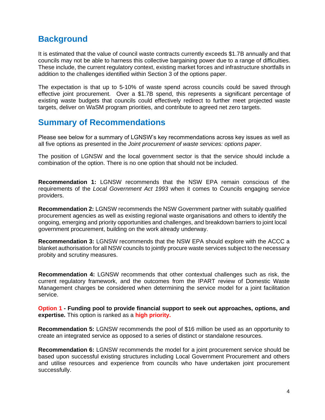### **Background**

It is estimated that the value of council waste contracts currently exceeds \$1.7B annually and that councils may not be able to harness this collective bargaining power due to a range of difficulties. These include, the current regulatory context, existing market forces and infrastructure shortfalls in addition to the challenges identified within Section 3 of the options paper.

The expectation is that up to 5-10% of waste spend across councils could be saved through effective joint procurement. Over a \$1.7B spend, this represents a significant percentage of existing waste budgets that councils could effectively redirect to further meet projected waste targets, deliver on WaSM program priorities, and contribute to agreed net zero targets.

### **Summary of Recommendations**

Please see below for a summary of LGNSW's key recommendations across key issues as well as all five options as presented in the *Joint procurement of waste services: options paper*.

The position of LGNSW and the local government sector is that the service should include a combination of the option. There is no one option that should not be included.

**Recommendation 1:** LGNSW recommends that the NSW EPA remain conscious of the requirements of the *Local Government Act 1993* when it comes to Councils engaging service providers.

**Recommendation 2:** LGNSW recommends the NSW Government partner with suitably qualified procurement agencies as well as existing regional waste organisations and others to identify the ongoing, emerging and priority opportunities and challenges, and breakdown barriers to joint local government procurement, building on the work already underway.

**Recommendation 3:** LGNSW recommends that the NSW EPA should explore with the ACCC a blanket authorisation for all NSW councils to jointly procure waste services subject to the necessary probity and scrutiny measures.

**Recommendation 4:** LGNSW recommends that other contextual challenges such as risk, the current regulatory framework, and the outcomes from the IPART review of Domestic Waste Management charges be considered when determining the service model for a joint facilitation service.

**Option 1 - Funding pool to provide financial support to seek out approaches, options, and expertise.** This option is ranked as a **high priority.**

**Recommendation 5:** LGNSW recommends the pool of \$16 million be used as an opportunity to create an integrated service as opposed to a series of distinct or standalone resources.

**Recommendation 6:** LGNSW recommends the model for a joint procurement service should be based upon successful existing structures including Local Government Procurement and others and utilise resources and experience from councils who have undertaken joint procurement successfully.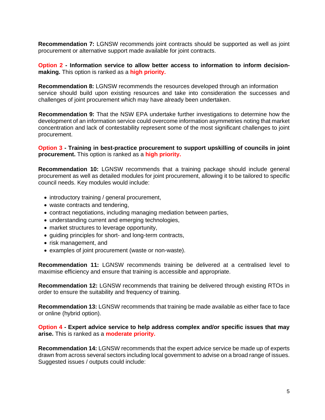**Recommendation 7:** LGNSW recommends joint contracts should be supported as well as joint procurement or alternative support made available for joint contracts.

**Option 2 - Information service to allow better access to information to inform decisionmaking.** This option is ranked as a **high priority.**

**Recommendation 8:** LGNSW recommends the resources developed through an information service should build upon existing resources and take into consideration the successes and challenges of joint procurement which may have already been undertaken.

**Recommendation 9:** That the NSW EPA undertake further investigations to determine how the development of an information service could overcome information asymmetries noting that market concentration and lack of contestability represent some of the most significant challenges to joint procurement.

**Option 3 - Training in best-practice procurement to support upskilling of councils in joint procurement.** This option is ranked as a **high priority.**

**Recommendation 10:** LGNSW recommends that a training package should include general procurement as well as detailed modules for joint procurement, allowing it to be tailored to specific council needs. Key modules would include:

- introductory training / general procurement,
- waste contracts and tendering,
- contract negotiations, including managing mediation between parties,
- understanding current and emerging technologies,
- market structures to leverage opportunity,
- guiding principles for short- and long-term contracts,
- risk management, and
- examples of joint procurement (waste or non-waste).

**Recommendation 11:** LGNSW recommends training be delivered at a centralised level to maximise efficiency and ensure that training is accessible and appropriate.

**Recommendation 12:** LGNSW recommends that training be delivered through existing RTOs in order to ensure the suitability and frequency of training.

**Recommendation 13:** LGNSW recommends that training be made available as either face to face or online (hybrid option).

**Option 4 - Expert advice service to help address complex and/or specific issues that may arise.** This is ranked as a **moderate priority.**

**Recommendation 14:** LGNSW recommends that the expert advice service be made up of experts drawn from across several sectors including local government to advise on a broad range of issues. Suggested issues / outputs could include: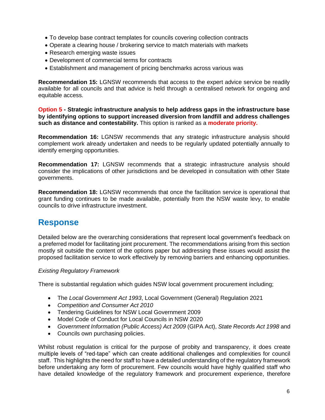- To develop base contract templates for councils covering collection contracts
- Operate a clearing house / brokering service to match materials with markets
- Research emerging waste issues
- Development of commercial terms for contracts
- Establishment and management of pricing benchmarks across various was

**Recommendation 15:** LGNSW recommends that access to the expert advice service be readily available for all councils and that advice is held through a centralised network for ongoing and equitable access.

**Option 5 - Strategic infrastructure analysis to help address gaps in the infrastructure base by identifying options to support increased diversion from landfill and address challenges such as distance and contestability.** This option is ranked as a **moderate priority.**

**Recommendation 16:** LGNSW recommends that any strategic infrastructure analysis should complement work already undertaken and needs to be regularly updated potentially annually to identify emerging opportunities.

**Recommendation 17:** LGNSW recommends that a strategic infrastructure analysis should consider the implications of other jurisdictions and be developed in consultation with other State governments.

**Recommendation 18:** LGNSW recommends that once the facilitation service is operational that grant funding continues to be made available, potentially from the NSW waste levy, to enable councils to drive infrastructure investment.

### **Response**

Detailed below are the overarching considerations that represent local government's feedback on a preferred model for facilitating joint procurement. The recommendations arising from this section mostly sit outside the content of the options paper but addressing these issues would assist the proposed facilitation service to work effectively by removing barriers and enhancing opportunities.

#### *Existing Regulatory Framework*

There is substantial regulation which guides NSW local government procurement including;

- The *Local Government Act 1993*, Local Government (General) Regulation 2021
- *Competition and Consumer Act 2010*
- Tendering Guidelines for NSW Local Government 2009
- Model Code of Conduct for Local Councils in NSW 2020
- *Government Information (Public Access) Act 2009* (GIPA Act), *State Records Act 1998* and
- Councils own purchasing policies.

Whilst robust regulation is critical for the purpose of probity and transparency, it does create multiple levels of "red-tape" which can create additional challenges and complexities for council staff. This highlights the need for staff to have a detailed understanding of the regulatory framework before undertaking any form of procurement. Few councils would have highly qualified staff who have detailed knowledge of the regulatory framework and procurement experience, therefore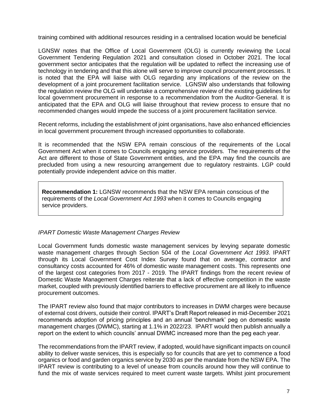training combined with additional resources residing in a centralised location would be beneficial

LGNSW notes that the Office of Local Government (OLG) is currently reviewing the Local Government Tendering Regulation 2021 and consultation closed in October 2021. The local government sector anticipates that the regulation will be updated to reflect the increasing use of technology in tendering and that this alone will serve to improve council procurement processes. It is noted that the EPA will liaise with OLG regarding any implications of the review on the development of a joint procurement facilitation service. LGNSW also understands that following the regulation review the OLG will undertake a comprehensive review of the existing guidelines for local government procurement in response to a recommendation from the Auditor-General. It is anticipated that the EPA and OLG will liaise throughout that review process to ensure that no recommended changes would impede the success of a joint procurement facilitation service.

Recent reforms, including the establishment of joint organisations, have also enhanced efficiencies in local government procurement through increased opportunities to collaborate.

It is recommended that the NSW EPA remain conscious of the requirements of the Local Government Act when it comes to Councils engaging service providers. The requirements of the Act are different to those of State Government entities, and the EPA may find the councils are precluded from using a new resourcing arrangement due to regulatory restraints. LGP could potentially provide independent advice on this matter.

**Recommendation 1:** LGNSW recommends that the NSW EPA remain conscious of the requirements of the *Local Government Act 1993* when it comes to Councils engaging service providers.

#### *IPART Domestic Waste Management Charges Review*

Local Government funds domestic waste management services by levying separate domestic waste management charges through Section 504 of the *Local Government Act 1993*. IPART through its Local Government Cost Index Survey found that on average, contractor and consultancy costs accounted for 46% of domestic waste management costs. This represents one of the largest cost categories from 2017 - 2019. The IPART findings from the recent review of Domestic Waste Management Charges reiterate that a lack of effective competition in the waste market, coupled with previously identified barriers to effective procurement are all likely to influence procurement outcomes.

The IPART review also found that major contributors to increases in DWM charges were because of external cost drivers, outside their control. IPART's Draft Report released in mid-December 2021 recommends adoption of pricing principles and an annual 'benchmark' peg on domestic waste management charges (DWMC), starting at 1.1% in 2022/23. IPART would then publish annually a report on the extent to which councils' annual DWMC increased more than the peg each year.

The recommendations from the IPART review, if adopted, would have significant impacts on council ability to deliver waste services, this is especially so for councils that are yet to commence a food organics or food and garden organics service by 2030 as per the mandate from the NSW EPA. The IPART review is contributing to a level of unease from councils around how they will continue to fund the mix of waste services required to meet current waste targets. Whilst joint procurement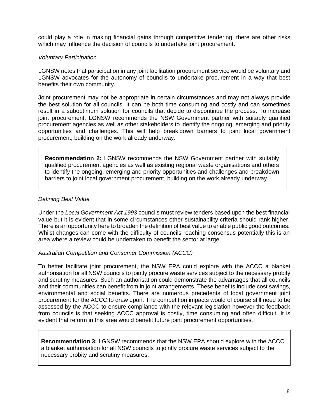could play a role in making financial gains through competitive tendering, there are other risks which may influence the decision of councils to undertake joint procurement.

#### *Voluntary Participation*

LGNSW notes that participation in any joint facilitation procurement service would be voluntary and LGNSW advocates for the autonomy of councils to undertake procurement in a way that best benefits their own community.

Joint procurement may not be appropriate in certain circumstances and may not always provide the best solution for all councils. It can be both time consuming and costly and can sometimes result in a suboptimum solution for councils that decide to discontinue the process. To increase joint procurement, LGNSW recommends the NSW Government partner with suitably qualified procurement agencies as well as other stakeholders to identify the ongoing, emerging and priority opportunities and challenges. This will help break down barriers to joint local government procurement, building on the work already underway.

**Recommendation 2:** LGNSW recommends the NSW Government partner with suitably qualified procurement agencies as well as existing regional waste organisations and others to identify the ongoing, emerging and priority opportunities and challenges and breakdown barriers to joint local government procurement, building on the work already underway.

#### *Defining Best Value*

Under the *Local Government Act 1993* councils must review tenders based upon the best financial value but it is evident that in some circumstances other sustainability criteria should rank higher. There is an opportunity here to broaden the definition of best value to enable public good outcomes. Whilst changes can come with the difficulty of councils reaching consensus potentially this is an area where a review could be undertaken to benefit the sector at large.

#### *Australian Competition and Consumer Commission (ACCC)*

To better facilitate joint procurement, the NSW EPA could explore with the ACCC a blanket authorisation for all NSW councils to jointly procure waste services subject to the necessary probity and scrutiny measures. Such an authorisation could demonstrate the advantages that all councils and their communities can benefit from in joint arrangements. These benefits include cost savings, environmental and social benefits. There are numerous precedents of local government joint procurement for the ACCC to draw upon. The competition impacts would of course still need to be assessed by the ACCC to ensure compliance with the relevant legislation however the feedback from councils is that seeking ACCC approval is costly, time consuming and often difficult. It is evident that reform in this area would benefit future joint procurement opportunities.

**Recommendation 3:** LGNSW recommends that the NSW EPA should explore with the ACCC a blanket authorisation for all NSW councils to jointly procure waste services subject to the necessary probity and scrutiny measures.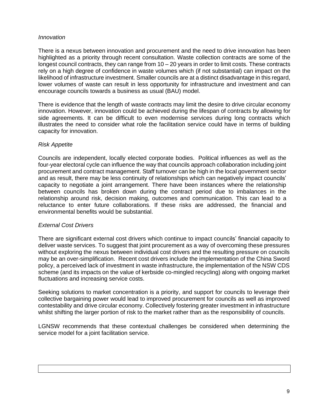#### *Innovation*

There is a nexus between innovation and procurement and the need to drive innovation has been highlighted as a priority through recent consultation. Waste collection contracts are some of the longest council contracts, they can range from  $10 - 20$  years in order to limit costs. These contracts rely on a high degree of confidence in waste volumes which (if not substantial) can impact on the likelihood of infrastructure investment. Smaller councils are at a distinct disadvantage in this regard, lower volumes of waste can result in less opportunity for infrastructure and investment and can encourage councils towards a business as usual (BAU) model.

There is evidence that the length of waste contracts may limit the desire to drive circular economy innovation. However, innovation could be achieved during the lifespan of contracts by allowing for side agreements. It can be difficult to even modernise services during long contracts which illustrates the need to consider what role the facilitation service could have in terms of building capacity for innovation.

#### *Risk Appetite*

Councils are independent, locally elected corporate bodies. Political influences as well as the four-year electoral cycle can influence the way that councils approach collaboration including joint procurement and contract management. Staff turnover can be high in the local government sector and as result, there may be less continuity of relationships which can negatively impact councils' capacity to negotiate a joint arrangement. There have been instances where the relationship between councils has broken down during the contract period due to imbalances in the relationship around risk, decision making, outcomes and communication. This can lead to a reluctance to enter future collaborations. If these risks are addressed, the financial and environmental benefits would be substantial.

#### *External Cost Drivers*

There are significant external cost drivers which continue to impact councils' financial capacity to deliver waste services. To suggest that joint procurement as a way of overcoming these pressures without exploring the nexus between individual cost drivers and the resulting pressure on councils may be an over-simplification. Recent cost drivers include the implementation of the China Sword policy, a perceived lack of investment in waste infrastructure, the implementation of the NSW CDS scheme (and its impacts on the value of kerbside co-mingled recycling) along with ongoing market fluctuations and increasing service costs.

Seeking solutions to market concentration is a priority, and support for councils to leverage their collective bargaining power would lead to improved procurement for councils as well as improved contestability and drive circular economy. Collectively fostering greater investment in infrastructure whilst shifting the larger portion of risk to the market rather than as the responsibility of councils.

<span id="page-8-0"></span>LGNSW recommends that these contextual challenges be considered when determining the service model for a joint facilitation service.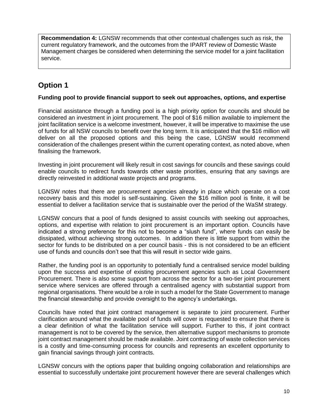**Recommendation 4:** LGNSW recommends that other contextual challenges such as risk, the current regulatory framework, and the outcomes from the IPART review of Domestic Waste Management charges be considered when determining the service model for a joint facilitation service.

### **Option 1**

#### **Funding pool to provide financial support to seek out approaches, options, and expertise**

Financial assistance through a funding pool is a high priority option for councils and should be considered an investment in joint procurement. The pool of \$16 million available to implement the joint facilitation service is a welcome investment, however, it will be imperative to maximise the use of funds for all NSW councils to benefit over the long term. It is anticipated that the \$16 million will deliver on all the proposed options and this being the case, LGNSW would recommend consideration of the challenges present within the current operating context, as noted above, when finalising the framework.

Investing in joint procurement will likely result in cost savings for councils and these savings could enable councils to redirect funds towards other waste priorities, ensuring that any savings are directly reinvested in additional waste projects and programs.

LGNSW notes that there are procurement agencies already in place which operate on a cost recovery basis and this model is self-sustaining. Given the \$16 million pool is finite, it will be essential to deliver a facilitation service that is sustainable over the period of the WaSM strategy.

LGNSW concurs that a pool of funds designed to assist councils with seeking out approaches, options, and expertise with relation to joint procurement is an important option. Councils have indicated a strong preference for this not to become a "slush fund", where funds can easily be dissipated, without achieving strong outcomes. In addition there is little support from within the sector for funds to be distributed on a per council basis - this is not considered to be an efficient use of funds and councils don't see that this will result in sector wide gains.

Rather, the funding pool is an opportunity to potentially fund a centralised service model building upon the success and expertise of existing procurement agencies such as Local Government Procurement. There is also some support from across the sector for a two-tier joint procurement service where services are offered through a centralised agency with substantial support from regional organisations. There would be a role in such a model for the State Government to manage the financial stewardship and provide oversight to the agency's undertakings.

Councils have noted that joint contract management is separate to joint procurement. Further clarification around what the available pool of funds will cover is requested to ensure that there is a clear definition of what the facilitation service will support. Further to this, if joint contract management is not to be covered by the service, then alternative support mechanisms to promote joint contract management should be made available. Joint contracting of waste collection services is a costly and time-consuming process for councils and represents an excellent opportunity to gain financial savings through joint contracts.

LGNSW concurs with the options paper that building ongoing collaboration and relationships are essential to successfully undertake joint procurement however there are several challenges which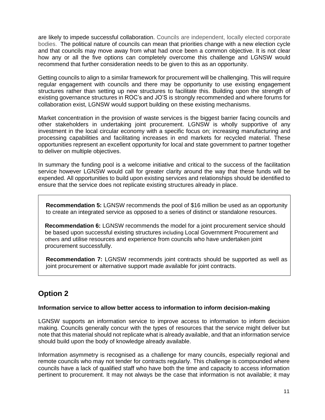are likely to impede successful collaboration. Councils are independent, locally elected corporate bodies. The political nature of councils can mean that priorities change with a new election cycle and that councils may move away from what had once been a common objective. It is not clear how any or all the five options can completely overcome this challenge and LGNSW would recommend that further consideration needs to be given to this as an opportunity.

Getting councils to align to a similar framework for procurement will be challenging. This will require regular engagement with councils and there may be opportunity to use existing engagement structures rather than setting up new structures to facilitate this. Building upon the strength of existing governance structures in ROC's and JO'S is strongly recommended and where forums for collaboration exist, LGNSW would support building on these existing mechanisms.

Market concentration in the provision of waste services is the biggest barrier facing councils and other stakeholders in undertaking joint procurement. LGNSW is wholly supportive of any investment in the local circular economy with a specific focus on; increasing manufacturing and processing capabilities and facilitating increases in end markets for recycled material. These opportunities represent an excellent opportunity for local and state government to partner together to deliver on multiple objectives.

In summary the funding pool is a welcome initiative and critical to the success of the facilitation service however LGNSW would call for greater clarity around the way that these funds will be expended. All opportunities to build upon existing services and relationships should be identified to ensure that the service does not replicate existing structures already in place.

**Recommendation 5:** LGNSW recommends the pool of \$16 million be used as an opportunity to create an integrated service as opposed to a series of distinct or standalone resources.

**Recommendation 6:** LGNSW recommends the model for a joint procurement service should be based upon successful existing structures including Local Government Procurement and others and utilise resources and experience from councils who have undertaken joint procurement successfully.

**Recommendation 7:** LGNSW recommends joint contracts should be supported as well as joint procurement or alternative support made available for joint contracts.

### **Option 2**

#### **Information service to allow better access to information to inform decision-making**

LGNSW supports an information service to improve access to information to inform decision making. Councils generally concur with the types of resources that the service might deliver but note that this material should not replicate what is already available, and that an information service should build upon the body of knowledge already available.

Information asymmetry is recognised as a challenge for many councils, especially regional and remote councils who may not tender for contracts regularly. This challenge is compounded where councils have a lack of qualified staff who have both the time and capacity to access information pertinent to procurement. It may not always be the case that information is not available; it may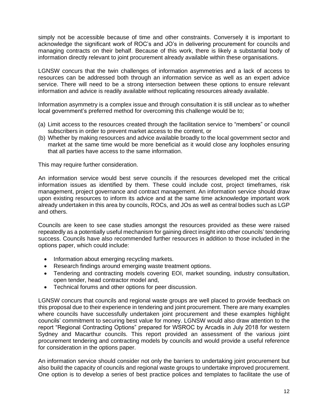simply not be accessible because of time and other constraints. Conversely it is important to acknowledge the significant work of ROC's and JO's in delivering procurement for councils and managing contracts on their behalf. Because of this work, there is likely a substantial body of information directly relevant to joint procurement already available within these organisations.

LGNSW concurs that the twin challenges of information asymmetries and a lack of access to resources can be addressed both through an information service as well as an expert advice service. There will need to be a strong intersection between these options to ensure relevant information and advice is readily available without replicating resources already available.

Information asymmetry is a complex issue and through consultation it is still unclear as to whether local government's preferred method for overcoming this challenge would be to;

- (a) Limit access to the resources created through the facilitation service to "members" or council subscribers in order to prevent market access to the content, or
- (b) Whether by making resources and advice available broadly to the local government sector and market at the same time would be more beneficial as it would close any loopholes ensuring that all parties have access to the same information.

This may require further consideration.

An information service would best serve councils if the resources developed met the critical information issues as identified by them. These could include cost, project timeframes, risk management, project governance and contract management. An information service should draw upon existing resources to inform its advice and at the same time acknowledge important work already undertaken in this area by councils, ROCs, and JOs as well as central bodies such as LGP and others.

Councils are keen to see case studies amongst the resources provided as these were raised repeatedly as a potentially useful mechanism for gaining direct insight into other councils' tendering success. Councils have also recommended further resources in addition to those included in the options paper, which could include:

- Information about emerging recycling markets.
- Research findings around emerging waste treatment options.
- Tendering and contracting models covering EOI, market sounding, industry consultation, open tender, head contractor model and,
- Technical forums and other options for peer discussion.

LGNSW concurs that councils and regional waste groups are well placed to provide feedback on this proposal due to their experience in tendering and joint procurement. There are many examples where councils have successfully undertaken joint procurement and these examples highlight councils' commitment to securing best value for money. LGNSW would also draw attention to the report "Regional Contracting Options" prepared for WSROC by Arcadis in July 2018 for western Sydney and Macarthur councils. This report provided an assessment of the various joint procurement tendering and contracting models by councils and would provide a useful reference for consideration in the options paper.

An information service should consider not only the barriers to undertaking joint procurement but also build the capacity of councils and regional waste groups to undertake improved procurement. One option is to develop a series of best practice polices and templates to facilitate the use of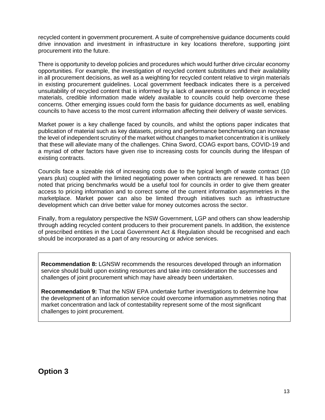recycled content in government procurement. A suite of comprehensive guidance documents could drive innovation and investment in infrastructure in key locations therefore, supporting joint procurement into the future.

There is opportunity to develop policies and procedures which would further drive circular economy opportunities. For example, the investigation of recycled content substitutes and their availability in all procurement decisions, as well as a weighting for recycled content relative to virgin materials in existing procurement guidelines. Local government feedback indicates there is a perceived unsuitability of recycled content that is informed by a lack of awareness or confidence in recycled materials, credible information made widely available to councils could help overcome these concerns. Other emerging issues could form the basis for guidance documents as well, enabling councils to have access to the most current information affecting their delivery of waste services.

Market power is a key challenge faced by councils, and whilst the options paper indicates that publication of material such as key datasets, pricing and performance benchmarking can increase the level of independent scrutiny of the market without changes to market concentration it is unlikely that these will alleviate many of the challenges. China Sword, COAG export bans, COVID-19 and a myriad of other factors have given rise to increasing costs for councils during the lifespan of existing contracts.

Councils face a sizeable risk of increasing costs due to the typical length of waste contract (10 years plus) coupled with the limited negotiating power when contracts are renewed. It has been noted that pricing benchmarks would be a useful tool for councils in order to give them greater access to pricing information and to correct some of the current information asymmetries in the marketplace. Market power can also be limited through initiatives such as infrastructure development which can drive better value for money outcomes across the sector.

Finally, from a regulatory perspective the NSW Government, LGP and others can show leadership through adding recycled content producers to their procurement panels. In addition, the existence of prescribed entities in the Local Government Act & Regulation should be recognised and each should be incorporated as a part of any resourcing or advice services.

**Recommendation 8:** LGNSW recommends the resources developed through an information service should build upon existing resources and take into consideration the successes and challenges of joint procurement which may have already been undertaken.

**Recommendation 9:** That the NSW EPA undertake further investigations to determine how the development of an information service could overcome information asymmetries noting that market concentration and lack of contestability represent some of the most significant challenges to joint procurement.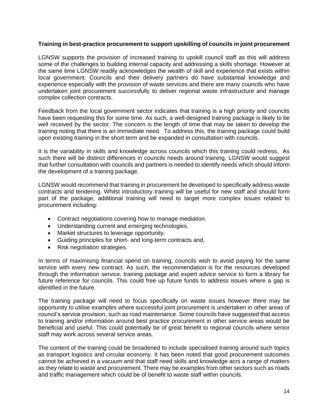#### **Training in best-practice procurement to support upskilling of councils in joint procurement**

LGNSW supports the provision of increased training to upskill council staff as this will address some of the challenges to building internal capacity and addressing a skills shortage. However at the same time LGNSW readily acknowledges the wealth of skill and experience that exists within local government. Councils and their delivery partners do have substantial knowledge and experience especially with the provision of waste services and there are many councils who have undertaken joint procurement successfully to deliver regional waste infrastructure and manage complex collection contracts.

Feedback from the local government sector indicates that training is a high priority and councils have been requesting this for some time. As such, a well-designed training package is likely to be well received by the sector. The concern is the length of time that may be taken to develop the training noting that there is an immediate need. To address this, the training package could build upon existing training in the short term and be expanded in consultation with councils.

It is the variability in skills and knowledge across councils which this training could redress. As such there will be distinct differences in councils needs around training, LGNSW would suggest that further consultation with councils and partners is needed to identify needs which should inform the development of a training package.

LGNSW would recommend that training in procurement be developed to specifically address waste contracts and tendering. Whilst introductory training will be useful for new staff and should form part of the package, additional training will need to target more complex issues related to procurement including:

- Contract negotiations covering how to manage mediation.
- Understanding current and emerging technologies.
- Market structures to leverage opportunity.
- Guiding principles for short- and long-term contracts and,
- Risk negotiation strategies.

In terms of maximising financial spend on training, councils wish to avoid paying for the same service with every new contract. As such, the recommendation is for the resources developed through the information service, training package and expert advice service to form a library for future reference for councils. This could free up future funds to address issues where a gap is identified in the future.

The training package will need to focus specifically on waste issues however there may be opportunity to utilise examples where successful joint procurement is undertaken in other areas of council's service provision, such as road maintenance. Some councils have suggested that access to training and/or information around best practice procurement in other service areas would be beneficial and useful. This could potentially be of great benefit to regional councils where senior staff may work across several service areas.

The content of the training could be broadened to include specialised training around such topics as transport logistics and circular economy. It has been noted that good procurement outcomes cannot be achieved in a vacuum and that staff need skills and knowledge acrs a range of matters as they relate to waste and procurement. There may be examples from other sectors such as roads and traffic management which could be of benefit to waste staff within councils.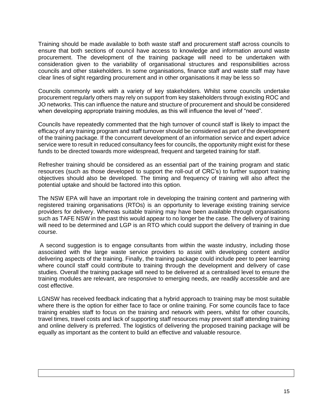Training should be made available to both waste staff and procurement staff across councils to ensure that both sections of council have access to knowledge and information around waste procurement. The development of the training package will need to be undertaken with consideration given to the variability of organisational structures and responsibilities across councils and other stakeholders. In some organisations, finance staff and waste staff may have clear lines of sight regarding procurement and in other organisations it may be less so

Councils commonly work with a variety of key stakeholders. Whilst some councils undertake procurement regularly others may rely on support from key stakeholders through existing ROC and JO networks. This can influence the nature and structure of procurement and should be considered when developing appropriate training modules, as this will influence the level of "need".

Councils have repeatedly commented that the high turnover of council staff is likely to impact the efficacy of any training program and staff turnover should be considered as part of the development of the training package. If the concurrent development of an information service and expert advice service were to result in reduced consultancy fees for councils, the opportunity might exist for these funds to be directed towards more widespread, frequent and targeted training for staff.

Refresher training should be considered as an essential part of the training program and static resources (such as those developed to support the roll-out of CRC's) to further support training objectives should also be developed. The timing and frequency of training will also affect the potential uptake and should be factored into this option.

The NSW EPA will have an important role in developing the training content and partnering with registered training organisations (RTOs) is an opportunity to leverage existing training service providers for delivery. Whereas suitable training may have been available through organisations such as TAFE NSW in the past this would appear to no longer be the case. The delivery of training will need to be determined and LGP is an RTO which could support the delivery of training in due course.

A second suggestion is to engage consultants from within the waste industry, including those associated with the large waste service providers to assist with developing content and/or delivering aspects of the training. Finally, the training package could include peer to peer learning where council staff could contribute to training through the development and delivery of case studies. Overall the training package will need to be delivered at a centralised level to ensure the training modules are relevant, are responsive to emerging needs, are readily accessible and are cost effective.

LGNSW has received feedback indicating that a hybrid approach to training may be most suitable where there is the option for either face to face or online training. For some councils face to face training enables staff to focus on the training and network with peers, whilst for other councils, travel times, travel costs and lack of supporting staff resources may prevent staff attending training and online delivery is preferred. The logistics of delivering the proposed training package will be equally as important as the content to build an effective and valuable resource.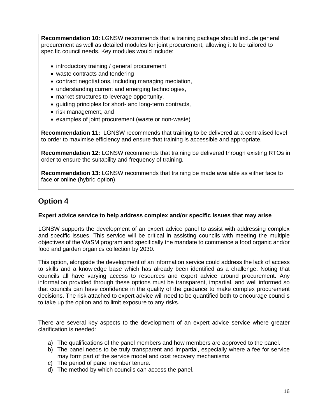**Recommendation 10:** LGNSW recommends that a training package should include general procurement as well as detailed modules for joint procurement, allowing it to be tailored to specific council needs. Key modules would include:

- introductory training / general procurement
- waste contracts and tendering
- contract negotiations, including managing mediation,
- understanding current and emerging technologies,
- market structures to leverage opportunity,
- guiding principles for short- and long-term contracts,
- risk management, and
- examples of joint procurement (waste or non-waste)

**Recommendation 11:** LGNSW recommends that training to be delivered at a centralised level to order to maximise efficiency and ensure that training is accessible and appropriate.

**Recommendation 12:** LGNSW recommends that training be delivered through existing RTOs in order to ensure the suitability and frequency of training.

**Recommendation 13:** LGNSW recommends that training be made available as either face to face or online (hybrid option).

### **Option 4**

#### **Expert advice service to help address complex and/or specific issues that may arise**

LGNSW supports the development of an expert advice panel to assist with addressing complex and specific issues. This service will be critical in assisting councils with meeting the multiple objectives of the WaSM program and specifically the mandate to commence a food organic and/or food and garden organics collection by 2030.

This option, alongside the development of an information service could address the lack of access to skills and a knowledge base which has already been identified as a challenge. Noting that councils all have varying access to resources and expert advice around procurement. Any information provided through these options must be transparent, impartial, and well informed so that councils can have confidence in the quality of the guidance to make complex procurement decisions. The risk attached to expert advice will need to be quantified both to encourage councils to take up the option and to limit exposure to any risks.

There are several key aspects to the development of an expert advice service where greater clarification is needed:

- a) The qualifications of the panel members and how members are approved to the panel.
- b) The panel needs to be truly transparent and impartial, especially where a fee for service may form part of the service model and cost recovery mechanisms.
- c) The period of panel member tenure.
- d) The method by which councils can access the panel.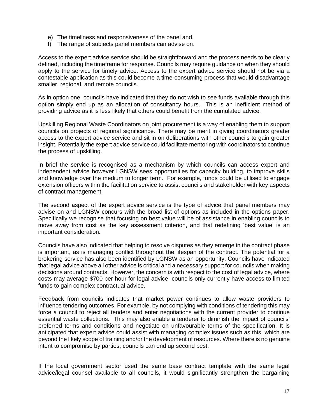- e) The timeliness and responsiveness of the panel and,
- f) The range of subjects panel members can advise on.

Access to the expert advice service should be straightforward and the process needs to be clearly defined, including the timeframe for response. Councils may require guidance on when they should apply to the service for timely advice. Access to the expert advice service should not be via a contestable application as this could become a time-consuming process that would disadvantage smaller, regional, and remote councils.

As in option one, councils have indicated that they do not wish to see funds available through this option simply end up as an allocation of consultancy hours. This is an inefficient method of providing advice as it is less likely that others could benefit from the cumulated advice.

Upskilling Regional Waste Coordinators on joint procurement is a way of enabling them to support councils on projects of regional significance. There may be merit in giving coordinators greater access to the expert advice service and sit in on deliberations with other councils to gain greater insight. Potentially the expert advice service could facilitate mentoring with coordinators to continue the process of upskilling.

In brief the service is recognised as a mechanism by which councils can access expert and independent advice however LGNSW sees opportunities for capacity building, to improve skills and knowledge over the medium to longer term. For example, funds could be utilised to engage extension officers within the facilitation service to assist councils and stakeholder with key aspects of contract management.

The second aspect of the expert advice service is the type of advice that panel members may advise on and LGNSW concurs with the broad list of options as included in the options paper. Specifically we recognise that focusing on best value will be of assistance in enabling councils to move away from cost as the key assessment criterion, and that redefining 'best value' is an important consideration.

Councils have also indicated that helping to resolve disputes as they emerge in the contract phase is important, as is managing conflict throughout the lifespan of the contract. The potential for a brokering service has also been identified by LGNSW as an opportunity. Councils have indicated that legal advice above all other advice is critical and a necessary support for councils when making decisions around contracts. However, the concern is with respect to the cost of legal advice, where costs may average \$700 per hour for legal advice, councils only currently have access to limited funds to gain complex contractual advice.

Feedback from councils indicates that market power continues to allow waste providers to influence tendering outcomes. For example, by not complying with conditions of tendering this may force a council to reject all tenders and enter negotiations with the current provider to continue essential waste collections. This may also enable a tenderer to diminish the impact of councils' preferred terms and conditions and negotiate on unfavourable terms of the specification. It is anticipated that expert advice could assist with managing complex issues such as this, which are beyond the likely scope of training and/or the development of resources. Where there is no genuine intent to compromise by parties, councils can end up second best.

If the local government sector used the same base contract template with the same legal advice/legal counsel available to all councils, it would significantly strengthen the bargaining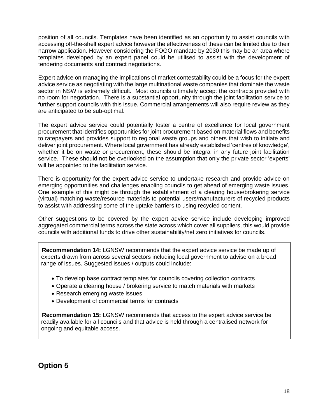position of all councils. Templates have been identified as an opportunity to assist councils with accessing off-the-shelf expert advice however the effectiveness of these can be limited due to their narrow application. However considering the FOGO mandate by 2030 this may be an area where templates developed by an expert panel could be utilised to assist with the development of tendering documents and contract negotiations.

Expert advice on managing the implications of market contestability could be a focus for the expert advice service as negotiating with the large multinational waste companies that dominate the waste sector in NSW is extremely difficult. Most councils ultimately accept the contracts provided with no room for negotiation. There is a substantial opportunity through the joint facilitation service to further support councils with this issue. Commercial arrangements will also require review as they are anticipated to be sub-optimal.

The expert advice service could potentially foster a centre of excellence for local government procurement that identifies opportunities for joint procurement based on material flows and benefits to ratepayers and provides support to regional waste groups and others that wish to initiate and deliver joint procurement. Where local government has already established 'centres of knowledge', whether it be on waste or procurement, these should be integral in any future joint facilitation service. These should not be overlooked on the assumption that only the private sector 'experts' will be appointed to the facilitation service.

There is opportunity for the expert advice service to undertake research and provide advice on emerging opportunities and challenges enabling councils to get ahead of emerging waste issues. One example of this might be through the establishment of a clearing house/brokering service (virtual) matching waste/resource materials to potential users/manufacturers of recycled products to assist with addressing some of the uptake barriers to using recycled content.

Other suggestions to be covered by the expert advice service include developing improved aggregated commercial terms across the state across which cover all suppliers, this would provide councils with additional funds to drive other sustainability/net zero initiatives for councils.

**Recommendation 14:** LGNSW recommends that the expert advice service be made up of experts drawn from across several sectors including local government to advise on a broad range of issues. Suggested issues / outputs could include:

- To develop base contract templates for councils covering collection contracts
- Operate a clearing house / brokering service to match materials with markets
- Research emerging waste issues
- Development of commercial terms for contracts

**Recommendation 15:** LGNSW recommends that access to the expert advice service be readily available for all councils and that advice is held through a centralised network for ongoing and equitable access.

**Option 5**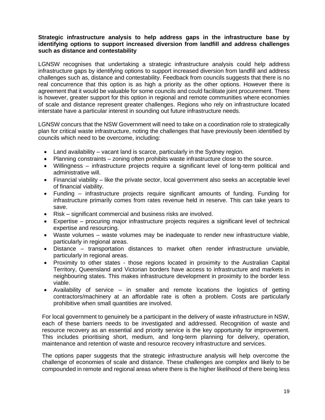#### **Strategic infrastructure analysis to help address gaps in the infrastructure base by identifying options to support increased diversion from landfill and address challenges such as distance and contestability**

LGNSW recognises that undertaking a strategic infrastructure analysis could help address infrastructure gaps by identifying options to support increased diversion from landfill and address challenges such as, distance and contestability. Feedback from councils suggests that there is no real concurrence that this option is as high a priority as the other options. However there is agreement that it would be valuable for some councils and could facilitate joint procurement. There is however, greater support for this option in regional and remote communities where economies of scale and distance represent greater challenges. Regions who rely on infrastructure located interstate have a particular interest in sounding out future infrastructure needs.

LGNSW concurs that the NSW Government will need to take on a coordination role to strategically plan for critical waste infrastructure, noting the challenges that have previously been identified by councils which need to be overcome, including:

- Land availability vacant land is scarce, particularly in the Sydney region.
- Planning constraints zoning often prohibits waste infrastructure close to the source.
- Willingness infrastructure projects require a significant level of long-term political and administrative will.
- Financial viability like the private sector, local government also seeks an acceptable level of financial viability.
- Funding infrastructure projects require significant amounts of funding. Funding for infrastructure primarily comes from rates revenue held in reserve. This can take years to save.
- Risk significant commercial and business risks are involved.
- Expertise procuring major infrastructure projects requires a significant level of technical expertise and resourcing.
- Waste volumes waste volumes may be inadequate to render new infrastructure viable, particularly in regional areas.
- Distance transportation distances to market often render infrastructure unviable, particularly in regional areas.
- Proximity to other states those regions located in proximity to the Australian Capital Territory, Queensland and Victorian borders have access to infrastructure and markets in neighbouring states. This makes infrastructure development in proximity to the border less viable.
- Availability of service in smaller and remote locations the logistics of getting contractors/machinery at an affordable rate is often a problem. Costs are particularly prohibitive when small quantities are involved.

For local government to genuinely be a participant in the delivery of waste infrastructure in NSW, each of these barriers needs to be investigated and addressed. Recognition of waste and resource recovery as an essential and priority service is the key opportunity for improvement. This includes prioritising short, medium, and long-term planning for delivery, operation, maintenance and retention of waste and resource recovery infrastructure and services.

The options paper suggests that the strategic infrastructure analysis will help overcome the challenge of economies of scale and distance. These challenges are complex and likely to be compounded in remote and regional areas where there is the higher likelihood of there being less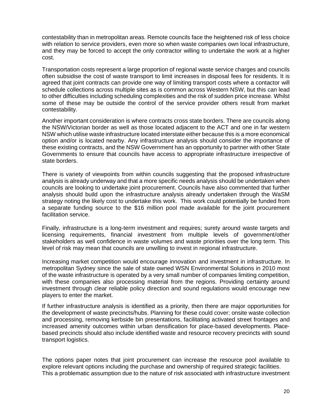contestability than in metropolitan areas. Remote councils face the heightened risk of less choice with relation to service providers, even more so when waste companies own local infrastructure, and they may be forced to accept the only contractor willing to undertake the work at a higher cost.

Transportation costs represent a large proportion of regional waste service charges and councils often subsidise the cost of waste transport to limit increases in disposal fees for residents. It is agreed that joint contracts can provide one way of limiting transport costs where a contactor will schedule collections across multiple sites as is common across Western NSW, but this can lead to other difficulties including scheduling complexities and the risk of sudden price increase. Whilst some of these may be outside the control of the service provider others result from market contestability.

Another important consideration is where contracts cross state borders. There are councils along the NSW/Victorian border as well as those located adjacent to the ACT and one in far western NSW which utilise waste infrastructure located interstate either because this is a more economical option and/or is located nearby. Any infrastructure analysis should consider the importance of these existing contracts, and the NSW Government has an opportunity to partner with other State Governments to ensure that councils have access to appropriate infrastructure irrespective of state borders.

There is variety of viewpoints from within councils suggesting that the proposed infrastructure analysis is already underway and that a more specific needs analysis should be undertaken when councils are looking to undertake joint procurement. Councils have also commented that further analysis should build upon the infrastructure analysis already undertaken through the WaSM strategy noting the likely cost to undertake this work. This work could potentially be funded from a separate funding source to the \$16 million pool made available for the joint procurement facilitation service.

Finally, infrastructure is a long-term investment and requires; surety around waste targets and licensing requirements, financial investment from multiple levels of government/other stakeholders as well confidence in waste volumes and waste priorities over the long term. This level of risk may mean that councils are unwilling to invest in regional infrastructure.

Increasing market competition would encourage innovation and investment in infrastructure. In metropolitan Sydney since the sale of state owned WSN Environmental Solutions in 2010 most of the waste infrastructure is operated by a very small number of companies limiting competition, with these companies also processing material from the regions. Providing certainty around investment through clear reliable policy direction and sound regulations would encourage new players to enter the market.

If further infrastructure analysis is identified as a priority, then there are major opportunities for the development of waste precincts/hubs. Planning for these could cover; onsite waste collection and processing, removing kerbside bin presentations, facilitating activated street frontages and increased amenity outcomes within urban densification for place-based developments. Placebased precincts should also include identified waste and resource recovery precincts with sound transport logistics.

The options paper notes that joint procurement can increase the resource pool available to explore relevant options including the purchase and ownership of required strategic facilities. This a problematic assumption due to the nature of risk associated with infrastructure investment